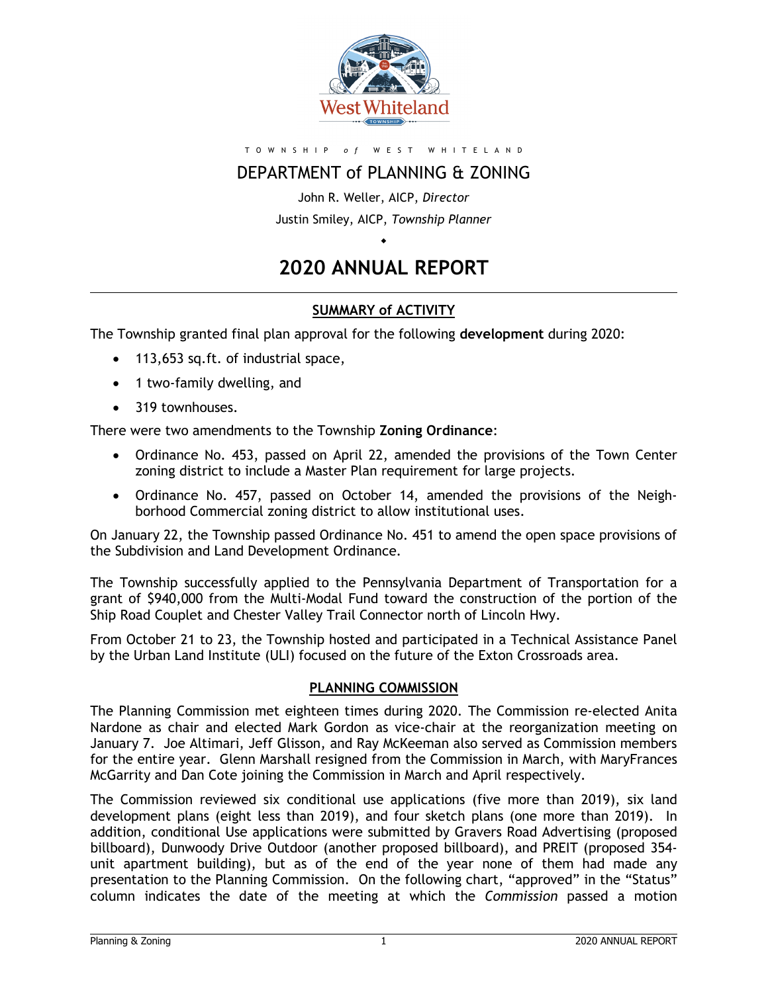

#### T O W N S H I P *o f* W E S T W H I T E L A N D

# DEPARTMENT of PLANNING & ZONING

John R. Weller, AICP, *Director* Justin Smiley, AICP, *Township Planner*

# **2020 ANNUAL REPORT**

 $\bullet$ 

### **SUMMARY of ACTIVITY**

The Township granted final plan approval for the following **development** during 2020:

- 113,653 sq.ft. of industrial space,
- 1 two-family dwelling, and
- 319 townhouses.

There were two amendments to the Township **Zoning Ordinance**:

- Ordinance No. 453, passed on April 22, amended the provisions of the Town Center zoning district to include a Master Plan requirement for large projects.
- Ordinance No. 457, passed on October 14, amended the provisions of the Neighborhood Commercial zoning district to allow institutional uses.

On January 22, the Township passed Ordinance No. 451 to amend the open space provisions of the Subdivision and Land Development Ordinance.

The Township successfully applied to the Pennsylvania Department of Transportation for a grant of \$940,000 from the Multi-Modal Fund toward the construction of the portion of the Ship Road Couplet and Chester Valley Trail Connector north of Lincoln Hwy.

From October 21 to 23, the Township hosted and participated in a Technical Assistance Panel by the Urban Land Institute (ULI) focused on the future of the Exton Crossroads area.

#### **PLANNING COMMISSION**

The Planning Commission met eighteen times during 2020. The Commission re-elected Anita Nardone as chair and elected Mark Gordon as vice-chair at the reorganization meeting on January 7. Joe Altimari, Jeff Glisson, and Ray McKeeman also served as Commission members for the entire year. Glenn Marshall resigned from the Commission in March, with MaryFrances McGarrity and Dan Cote joining the Commission in March and April respectively.

The Commission reviewed six conditional use applications (five more than 2019), six land development plans (eight less than 2019), and four sketch plans (one more than 2019). In addition, conditional Use applications were submitted by Gravers Road Advertising (proposed billboard), Dunwoody Drive Outdoor (another proposed billboard), and PREIT (proposed 354 unit apartment building), but as of the end of the year none of them had made any presentation to the Planning Commission. On the following chart, "approved" in the "Status" column indicates the date of the meeting at which the *Commission* passed a motion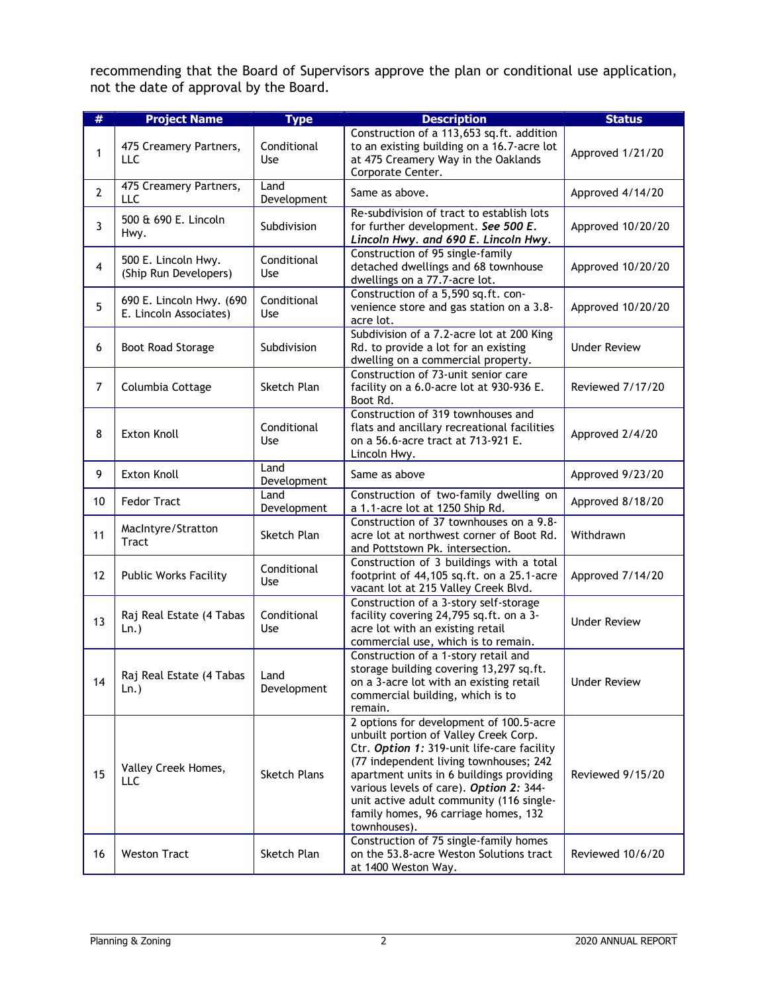recommending that the Board of Supervisors approve the plan or conditional use application, not the date of approval by the Board.

| #              | <b>Project Name</b>                                | <b>Type</b>         | <b>Description</b>                                                                                                                                                                                                                                                                                                                                                  | <b>Status</b>       |
|----------------|----------------------------------------------------|---------------------|---------------------------------------------------------------------------------------------------------------------------------------------------------------------------------------------------------------------------------------------------------------------------------------------------------------------------------------------------------------------|---------------------|
|                |                                                    |                     | Construction of a 113,653 sq.ft. addition                                                                                                                                                                                                                                                                                                                           |                     |
| 1              | 475 Creamery Partners,<br><b>LLC</b>               | Conditional<br>Use  | to an existing building on a 16.7-acre lot<br>at 475 Creamery Way in the Oaklands<br>Corporate Center.                                                                                                                                                                                                                                                              | Approved 1/21/20    |
| $\overline{2}$ | 475 Creamery Partners,<br>LLC                      | Land<br>Development | Same as above.                                                                                                                                                                                                                                                                                                                                                      | Approved 4/14/20    |
| 3              | 500 & 690 E. Lincoln<br>Hwy.                       | Subdivision         | Re-subdivision of tract to establish lots<br>for further development. See 500 E.<br>Lincoln Hwy. and 690 E. Lincoln Hwy.                                                                                                                                                                                                                                            | Approved 10/20/20   |
| 4              | 500 E. Lincoln Hwy.<br>(Ship Run Developers)       | Conditional<br>Use  | Construction of 95 single-family<br>detached dwellings and 68 townhouse<br>dwellings on a 77.7-acre lot.                                                                                                                                                                                                                                                            | Approved 10/20/20   |
| 5              | 690 E. Lincoln Hwy. (690<br>E. Lincoln Associates) | Conditional<br>Use  | Construction of a 5,590 sq.ft. con-<br>venience store and gas station on a 3.8-<br>acre lot.                                                                                                                                                                                                                                                                        | Approved 10/20/20   |
| 6              | Boot Road Storage                                  | Subdivision         | Subdivision of a 7.2-acre lot at 200 King<br>Rd. to provide a lot for an existing<br>dwelling on a commercial property.                                                                                                                                                                                                                                             | <b>Under Review</b> |
| $\overline{7}$ | Columbia Cottage                                   | Sketch Plan         | Construction of 73-unit senior care<br>facility on a 6.0-acre lot at 930-936 E.<br>Boot Rd.                                                                                                                                                                                                                                                                         | Reviewed 7/17/20    |
| 8              | <b>Exton Knoll</b>                                 | Conditional<br>Use  | Construction of 319 townhouses and<br>flats and ancillary recreational facilities<br>on a 56.6-acre tract at 713-921 E.<br>Lincoln Hwy.                                                                                                                                                                                                                             | Approved 2/4/20     |
| 9              | <b>Exton Knoll</b>                                 | Land<br>Development | Same as above                                                                                                                                                                                                                                                                                                                                                       | Approved 9/23/20    |
| 10             | <b>Fedor Tract</b>                                 | Land<br>Development | Construction of two-family dwelling on<br>a 1.1-acre lot at 1250 Ship Rd.                                                                                                                                                                                                                                                                                           | Approved 8/18/20    |
| 11             | MacIntyre/Stratton<br><b>Tract</b>                 | Sketch Plan         | Construction of 37 townhouses on a 9.8-<br>acre lot at northwest corner of Boot Rd.<br>and Pottstown Pk. intersection.                                                                                                                                                                                                                                              | Withdrawn           |
| 12             | <b>Public Works Facility</b>                       | Conditional<br>Use  | Construction of 3 buildings with a total<br>footprint of 44,105 sq.ft. on a 25.1-acre<br>vacant lot at 215 Valley Creek Blvd.                                                                                                                                                                                                                                       | Approved 7/14/20    |
| 13             | Raj Real Estate (4 Tabas<br>$Ln.$ )                | Conditional<br>Use  | Construction of a 3-story self-storage<br>facility covering 24,795 sq.ft. on a 3-<br>acre lot with an existing retail<br>commercial use, which is to remain.                                                                                                                                                                                                        | <b>Under Review</b> |
| 14             | Raj Real Estate (4 Tabas<br>$Ln.$ )                | Land<br>Development | Construction of a 1-story retail and<br>storage building covering 13,297 sq.ft.<br>on a 3-acre lot with an existing retail<br>commercial building, which is to<br>remain.                                                                                                                                                                                           | <b>Under Review</b> |
| 15             | Valley Creek Homes,<br>LLC                         | <b>Sketch Plans</b> | 2 options for development of 100.5-acre<br>unbuilt portion of Valley Creek Corp.<br>Ctr. Option 1: 319-unit life-care facility<br>(77 independent living townhouses; 242<br>apartment units in 6 buildings providing<br>various levels of care). Option 2: 344-<br>unit active adult community (116 single-<br>family homes, 96 carriage homes, 132<br>townhouses). | Reviewed 9/15/20    |
| 16             | <b>Weston Tract</b>                                | Sketch Plan         | Construction of 75 single-family homes<br>on the 53.8-acre Weston Solutions tract<br>at 1400 Weston Way.                                                                                                                                                                                                                                                            | Reviewed 10/6/20    |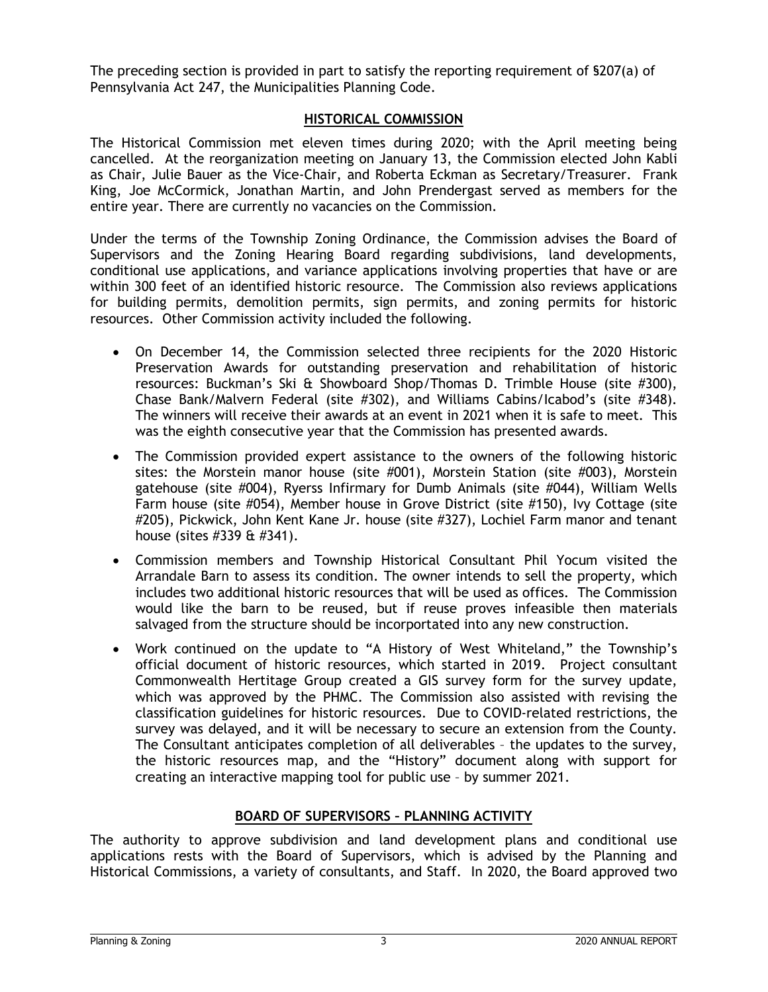The preceding section is provided in part to satisfy the reporting requirement of §207(a) of Pennsylvania Act 247, the Municipalities Planning Code.

## **HISTORICAL COMMISSION**

The Historical Commission met eleven times during 2020; with the April meeting being cancelled. At the reorganization meeting on January 13, the Commission elected John Kabli as Chair, Julie Bauer as the Vice-Chair, and Roberta Eckman as Secretary/Treasurer. Frank King, Joe McCormick, Jonathan Martin, and John Prendergast served as members for the entire year. There are currently no vacancies on the Commission.

Under the terms of the Township Zoning Ordinance, the Commission advises the Board of Supervisors and the Zoning Hearing Board regarding subdivisions, land developments, conditional use applications, and variance applications involving properties that have or are within 300 feet of an identified historic resource. The Commission also reviews applications for building permits, demolition permits, sign permits, and zoning permits for historic resources. Other Commission activity included the following.

- On December 14, the Commission selected three recipients for the 2020 Historic Preservation Awards for outstanding preservation and rehabilitation of historic resources: Buckman's Ski & Showboard Shop/Thomas D. Trimble House (site #300), Chase Bank/Malvern Federal (site #302), and Williams Cabins/Icabod's (site #348). The winners will receive their awards at an event in 2021 when it is safe to meet. This was the eighth consecutive year that the Commission has presented awards.
- The Commission provided expert assistance to the owners of the following historic sites: the Morstein manor house (site #001), Morstein Station (site #003), Morstein gatehouse (site #004), Ryerss Infirmary for Dumb Animals (site #044), William Wells Farm house (site #054), Member house in Grove District (site #150), Ivy Cottage (site #205), Pickwick, John Kent Kane Jr. house (site #327), Lochiel Farm manor and tenant house (sites #339 & #341).
- Commission members and Township Historical Consultant Phil Yocum visited the Arrandale Barn to assess its condition. The owner intends to sell the property, which includes two additional historic resources that will be used as offices. The Commission would like the barn to be reused, but if reuse proves infeasible then materials salvaged from the structure should be incorportated into any new construction.
- Work continued on the update to "A History of West Whiteland," the Township's official document of historic resources, which started in 2019. Project consultant Commonwealth Hertitage Group created a GIS survey form for the survey update, which was approved by the PHMC. The Commission also assisted with revising the classification guidelines for historic resources. Due to COVID-related restrictions, the survey was delayed, and it will be necessary to secure an extension from the County. The Consultant anticipates completion of all deliverables – the updates to the survey, the historic resources map, and the "History" document along with support for creating an interactive mapping tool for public use – by summer 2021.

# **BOARD OF SUPERVISORS – PLANNING ACTIVITY**

The authority to approve subdivision and land development plans and conditional use applications rests with the Board of Supervisors, which is advised by the Planning and Historical Commissions, a variety of consultants, and Staff. In 2020, the Board approved two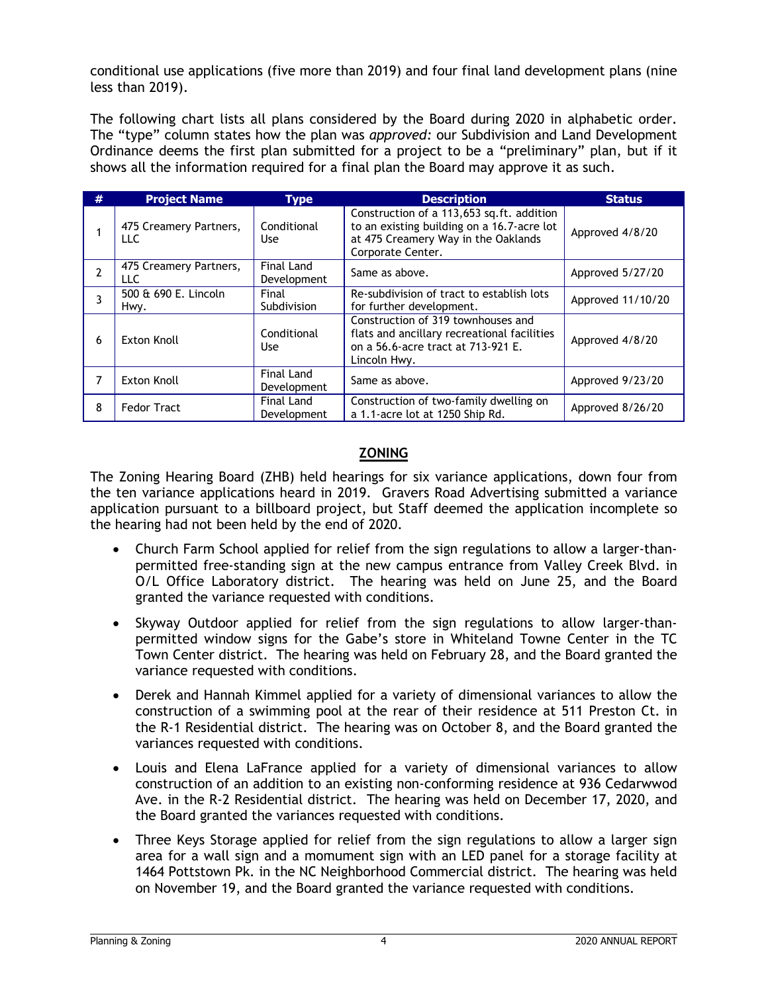conditional use applications (five more than 2019) and four final land development plans (nine less than 2019).

The following chart lists all plans considered by the Board during 2020 in alphabetic order. The "type" column states how the plan was *approved:* our Subdivision and Land Development Ordinance deems the first plan submitted for a project to be a "preliminary" plan, but if it shows all the information required for a final plan the Board may approve it as such.

| # | <b>Project Name</b>            | <b>Type</b>               | <b>Description</b>                                                                                                                                  | <b>Status</b>     |
|---|--------------------------------|---------------------------|-----------------------------------------------------------------------------------------------------------------------------------------------------|-------------------|
|   | 475 Creamery Partners,<br>LLC. | Conditional<br>Use        | Construction of a 113,653 sq.ft. addition<br>to an existing building on a 16.7-acre lot<br>at 475 Creamery Way in the Oaklands<br>Corporate Center. | Approved 4/8/20   |
| 2 | 475 Creamery Partners,<br>LLC. | Final Land<br>Development | Same as above.                                                                                                                                      | Approved 5/27/20  |
|   | 500 & 690 E. Lincoln<br>Hwy.   | Final<br>Subdivision      | Re-subdivision of tract to establish lots<br>for further development.                                                                               | Approved 11/10/20 |
| 6 | <b>Exton Knoll</b>             | Conditional<br>Use        | Construction of 319 townhouses and<br>flats and ancillary recreational facilities<br>on a 56.6-acre tract at 713-921 E.<br>Lincoln Hwy.             | Approved 4/8/20   |
| 7 | Exton Knoll                    | Final Land<br>Development | Same as above.                                                                                                                                      | Approved 9/23/20  |
| 8 | <b>Fedor Tract</b>             | Final Land<br>Development | Construction of two-family dwelling on<br>a 1.1-acre lot at 1250 Ship Rd.                                                                           | Approved 8/26/20  |

# **ZONING**

The Zoning Hearing Board (ZHB) held hearings for six variance applications, down four from the ten variance applications heard in 2019. Gravers Road Advertising submitted a variance application pursuant to a billboard project, but Staff deemed the application incomplete so the hearing had not been held by the end of 2020.

- Church Farm School applied for relief from the sign regulations to allow a larger-thanpermitted free-standing sign at the new campus entrance from Valley Creek Blvd. in O/L Office Laboratory district. The hearing was held on June 25, and the Board granted the variance requested with conditions.
- Skyway Outdoor applied for relief from the sign regulations to allow larger-thanpermitted window signs for the Gabe's store in Whiteland Towne Center in the TC Town Center district. The hearing was held on February 28, and the Board granted the variance requested with conditions.
- Derek and Hannah Kimmel applied for a variety of dimensional variances to allow the construction of a swimming pool at the rear of their residence at 511 Preston Ct. in the R-1 Residential district. The hearing was on October 8, and the Board granted the variances requested with conditions.
- Louis and Elena LaFrance applied for a variety of dimensional variances to allow construction of an addition to an existing non-conforming residence at 936 Cedarwwod Ave. in the R-2 Residential district. The hearing was held on December 17, 2020, and the Board granted the variances requested with conditions.
- Three Keys Storage applied for relief from the sign regulations to allow a larger sign area for a wall sign and a momument sign with an LED panel for a storage facility at 1464 Pottstown Pk. in the NC Neighborhood Commercial district. The hearing was held on November 19, and the Board granted the variance requested with conditions.